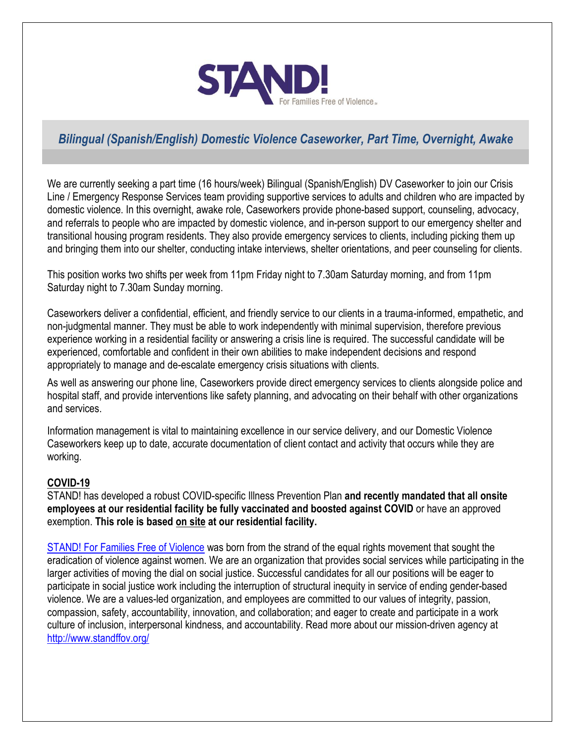

# *Bilingual (Spanish/English) Domestic Violence Caseworker, Part Time, Overnight, Awake*

We are currently seeking a part time (16 hours/week) Bilingual (Spanish/English) DV Caseworker to join our Crisis Line / Emergency Response Services team providing supportive services to adults and children who are impacted by domestic violence. In this overnight, awake role, Caseworkers provide phone-based support, counseling, advocacy, and referrals to people who are impacted by domestic violence, and in-person support to our emergency shelter and transitional housing program residents. They also provide emergency services to clients, including picking them up and bringing them into our shelter, conducting intake interviews, shelter orientations, and peer counseling for clients.

This position works two shifts per week from 11pm Friday night to 7.30am Saturday morning, and from 11pm Saturday night to 7.30am Sunday morning.

Caseworkers deliver a confidential, efficient, and friendly service to our clients in a trauma-informed, empathetic, and non-judgmental manner. They must be able to work independently with minimal supervision, therefore previous experience working in a residential facility or answering a crisis line is required. The successful candidate will be experienced, comfortable and confident in their own abilities to make independent decisions and respond appropriately to manage and de-escalate emergency crisis situations with clients.

As well as answering our phone line, Caseworkers provide direct emergency services to clients alongside police and hospital staff, and provide interventions like safety planning, and advocating on their behalf with other organizations and services.

Information management is vital to maintaining excellence in our service delivery, and our Domestic Violence Caseworkers keep up to date, accurate documentation of client contact and activity that occurs while they are working.

#### **COVID-19**

STAND! has developed a robust COVID-specific Illness Prevention Plan **and recently mandated that all onsite employees at our residential facility be fully vaccinated and boosted against COVID** or have an approved exemption. **This role is based on site at our residential facility.**

[STAND! For Families Free of Violence](https://www.standffov.org/) was born from the strand of the equal rights movement that sought the eradication of violence against women. We are an organization that provides social services while participating in the larger activities of moving the dial on social justice. Successful candidates for all our positions will be eager to participate in social justice work including the interruption of structural inequity in service of ending gender-based violence. We are a values-led organization, and employees are committed to our values of integrity, passion, compassion, safety, accountability, innovation, and collaboration; and eager to create and participate in a work culture of inclusion, interpersonal kindness, and accountability. Read more about our mission-driven agency at <http://www.standffov.org/>